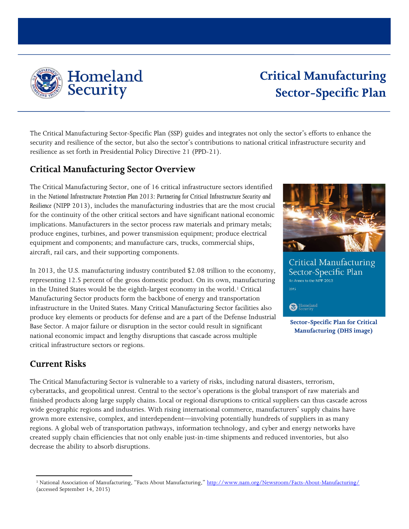

# **Critical Manufacturing Sector-Specific Plan**

The Critical Manufacturing Sector-Specific Plan (SSP) guides and integrates not only the sector's efforts to enhance the security and resilience of the sector, but also the sector's contributions to national critical infrastructure security and resilience as set forth in Presidential Policy Directive 21 (PPD-21).

## **Critical Manufacturing Sector Overview**

The Critical Manufacturing Sector, one of 16 critical infrastructure sectors identified in the *National Infrastructure Protection Plan 2013: Partnering for Critical Infrastructure Security and Resilience* (NIPP 2013), includes the manufacturing industries that are the most crucial for the continuity of the other critical sectors and have significant national economic implications. Manufacturers in the sector process raw materials and primary metals; produce engines, turbines, and power transmission equipment; produce electrical equipment and components; and manufacture cars, trucks, commercial ships, aircraft, rail cars, and their supporting components.

In 2013, the U.S. manufacturing industry contributed \$2.08 trillion to the economy, representing 12.5 percent of the gross domestic product. On its own, manufacturing in the United States would be the eighth-largest economy in the world.<sup>[1](#page-0-0)</sup> Critical Manufacturing Sector products form the backbone of energy and transportation infrastructure in the United States. Many Critical Manufacturing Sector facilities also produce key elements or products for defense and are a part of the Defense Industrial Base Sector. A major failure or disruption in the sector could result in significant national economic impact and lengthy disruptions that cascade across multiple critical infrastructure sectors or regions.



Critical Manufacturing Sector-Specific Plan An Annex to the NIPP 2013  $2015$ 

Homeland

**Sector-Specific Plan for Critical Manufacturing (DHS image)** 

## **Current Risks**

The Critical Manufacturing Sector is vulnerable to a variety of risks, including natural disasters, terrorism, cyberattacks, and geopolitical unrest. Central to the sector's operations is the global transport of raw materials and finished products along large supply chains. Local or regional disruptions to critical suppliers can thus cascade across wide geographic regions and industries. With rising international commerce, manufacturers' supply chains have grown more extensive, complex, and interdependent—involving potentially hundreds of suppliers in as many regions. A global web of transportation pathways, information technology, and cyber and energy networks have created supply chain efficiencies that not only enable just-in-time shipments and reduced inventories, but also decrease the ability to absorb disruptions.

<span id="page-0-0"></span> $\overline{\phantom{a}}$ <sup>1</sup> National Association of Manufacturing, "Facts About Manufacturing," <http://www.nam.org/Newsroom/Facts-About-Manufacturing/> (accessed September 14, 2015)